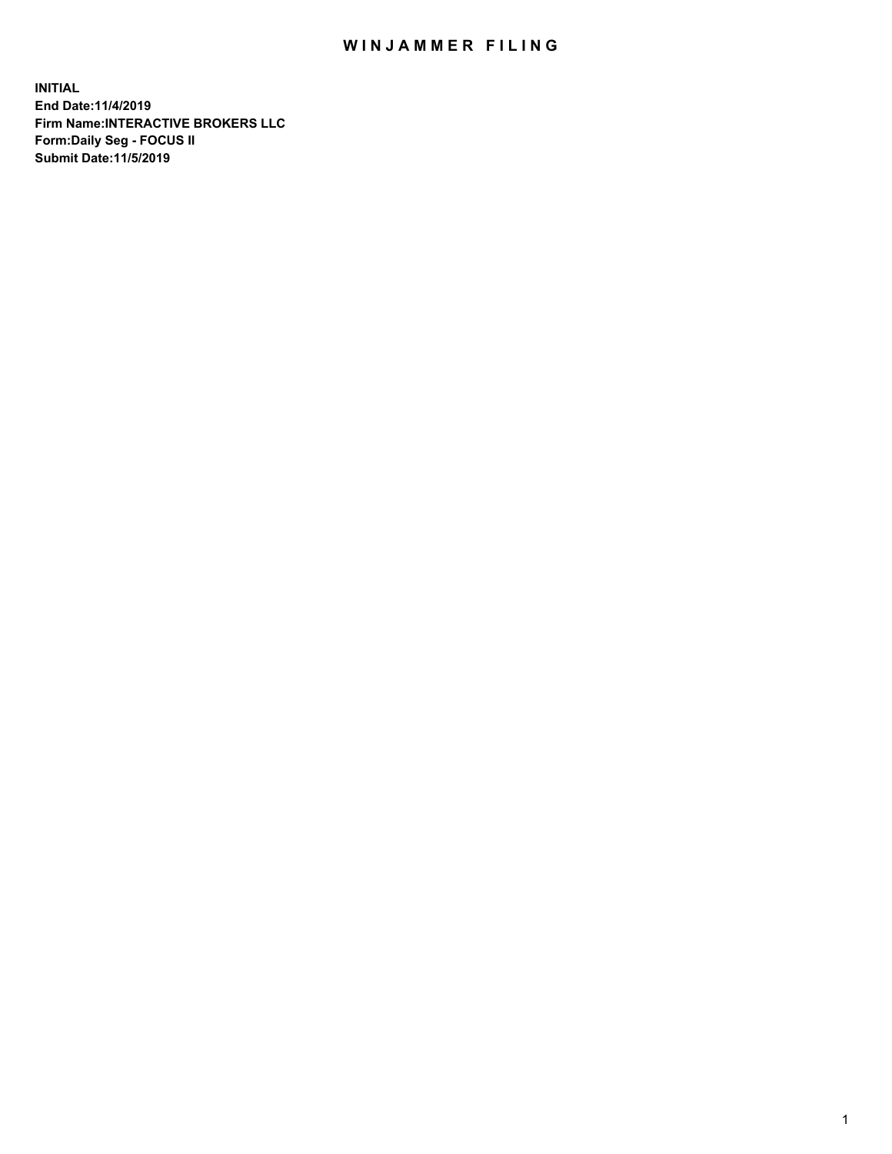## WIN JAMMER FILING

**INITIAL End Date:11/4/2019 Firm Name:INTERACTIVE BROKERS LLC Form:Daily Seg - FOCUS II Submit Date:11/5/2019**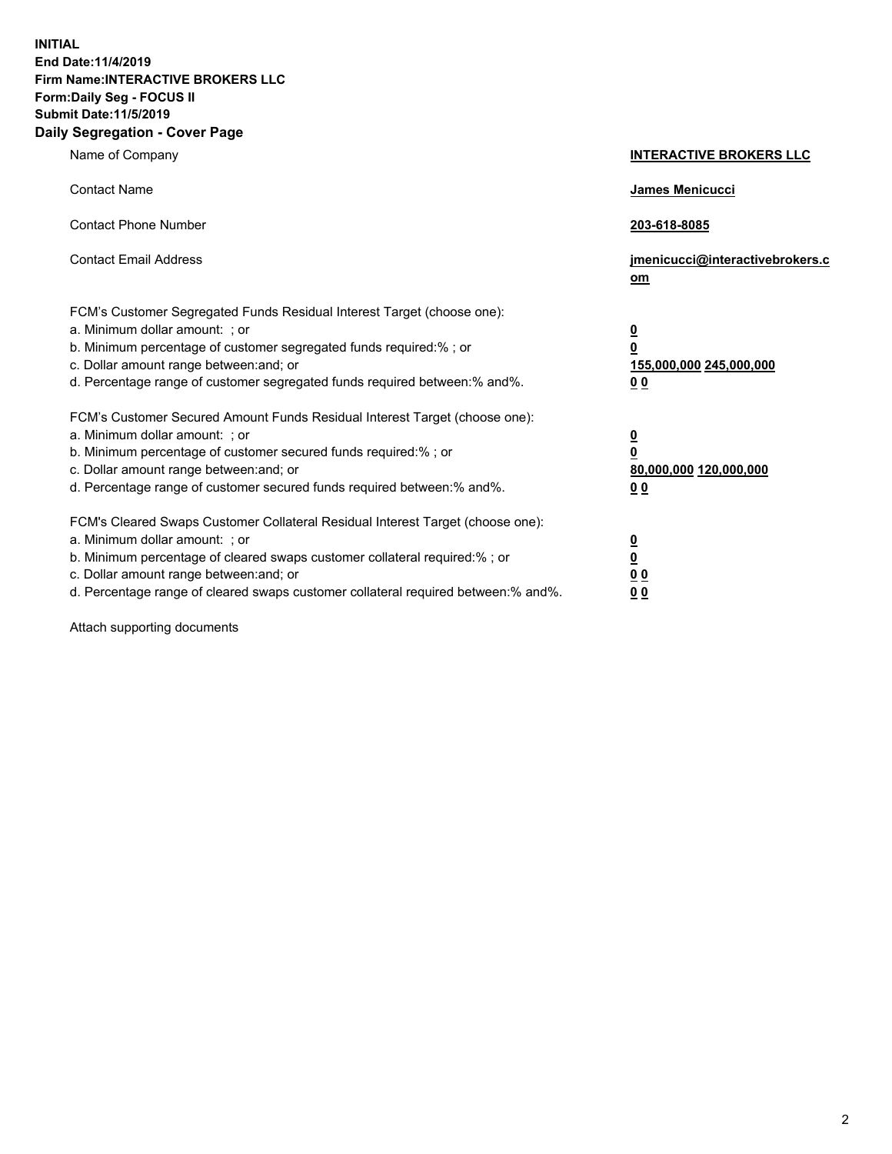**INITIAL End Date:11/4/2019 Firm Name:INTERACTIVE BROKERS LLC Form:Daily Seg - FOCUS II Submit Date:11/5/2019 Daily Segregation - Cover Page**

| Name of Company                                                                                                                                                                                                                                                                                                                | <b>INTERACTIVE BROKERS LLC</b>                                                                  |  |
|--------------------------------------------------------------------------------------------------------------------------------------------------------------------------------------------------------------------------------------------------------------------------------------------------------------------------------|-------------------------------------------------------------------------------------------------|--|
| <b>Contact Name</b>                                                                                                                                                                                                                                                                                                            | James Menicucci                                                                                 |  |
| <b>Contact Phone Number</b>                                                                                                                                                                                                                                                                                                    | 203-618-8085                                                                                    |  |
| <b>Contact Email Address</b>                                                                                                                                                                                                                                                                                                   | jmenicucci@interactivebrokers.c<br>om                                                           |  |
| FCM's Customer Segregated Funds Residual Interest Target (choose one):<br>a. Minimum dollar amount: ; or<br>b. Minimum percentage of customer segregated funds required:% ; or<br>c. Dollar amount range between: and; or<br>d. Percentage range of customer segregated funds required between:% and%.                         | $\overline{\mathbf{0}}$<br>$\overline{\mathbf{0}}$<br>155,000,000 245,000,000<br>0 <sub>0</sub> |  |
| FCM's Customer Secured Amount Funds Residual Interest Target (choose one):<br>a. Minimum dollar amount: ; or<br>b. Minimum percentage of customer secured funds required:% ; or<br>c. Dollar amount range between: and; or<br>d. Percentage range of customer secured funds required between:% and%.                           | $\overline{\mathbf{0}}$<br>0<br>80,000,000 120,000,000<br>0 <sub>0</sub>                        |  |
| FCM's Cleared Swaps Customer Collateral Residual Interest Target (choose one):<br>a. Minimum dollar amount: ; or<br>b. Minimum percentage of cleared swaps customer collateral required:% ; or<br>c. Dollar amount range between: and; or<br>d. Percentage range of cleared swaps customer collateral required between:% and%. | $\overline{\mathbf{0}}$<br><u>0</u><br>$\underline{0}$ $\underline{0}$<br>00                    |  |

Attach supporting documents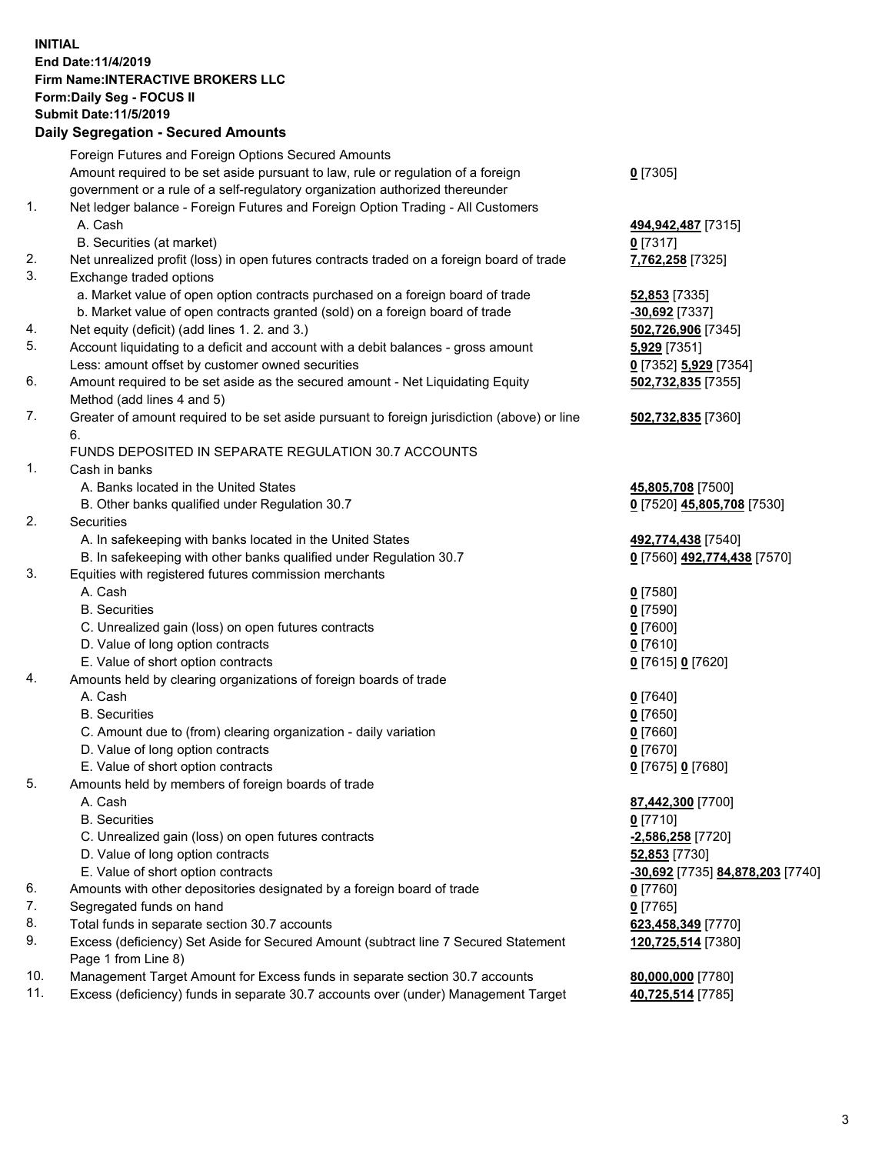## **INITIAL End Date:11/4/2019 Firm Name:INTERACTIVE BROKERS LLC Form:Daily Seg - FOCUS II Submit Date:11/5/2019 Daily Segregation - Secured Amounts**

| Amount required to be set aside pursuant to law, rule or regulation of a foreign<br>$0$ [7305]<br>government or a rule of a self-regulatory organization authorized thereunder<br>Net ledger balance - Foreign Futures and Foreign Option Trading - All Customers<br>494,942,487 [7315]<br>$0$ [7317]<br>Net unrealized profit (loss) in open futures contracts traded on a foreign board of trade<br>7,762,258 [7325]<br>a. Market value of open option contracts purchased on a foreign board of trade<br><b>52,853</b> [7335]<br>b. Market value of open contracts granted (sold) on a foreign board of trade<br>-30,692 [7337]<br>502,726,906 [7345]<br>Account liquidating to a deficit and account with a debit balances - gross amount<br>5,929 [7351]<br>0 [7352] 5,929 [7354] |
|----------------------------------------------------------------------------------------------------------------------------------------------------------------------------------------------------------------------------------------------------------------------------------------------------------------------------------------------------------------------------------------------------------------------------------------------------------------------------------------------------------------------------------------------------------------------------------------------------------------------------------------------------------------------------------------------------------------------------------------------------------------------------------------|
|                                                                                                                                                                                                                                                                                                                                                                                                                                                                                                                                                                                                                                                                                                                                                                                        |
|                                                                                                                                                                                                                                                                                                                                                                                                                                                                                                                                                                                                                                                                                                                                                                                        |
|                                                                                                                                                                                                                                                                                                                                                                                                                                                                                                                                                                                                                                                                                                                                                                                        |
|                                                                                                                                                                                                                                                                                                                                                                                                                                                                                                                                                                                                                                                                                                                                                                                        |
|                                                                                                                                                                                                                                                                                                                                                                                                                                                                                                                                                                                                                                                                                                                                                                                        |
|                                                                                                                                                                                                                                                                                                                                                                                                                                                                                                                                                                                                                                                                                                                                                                                        |
|                                                                                                                                                                                                                                                                                                                                                                                                                                                                                                                                                                                                                                                                                                                                                                                        |
|                                                                                                                                                                                                                                                                                                                                                                                                                                                                                                                                                                                                                                                                                                                                                                                        |
|                                                                                                                                                                                                                                                                                                                                                                                                                                                                                                                                                                                                                                                                                                                                                                                        |
|                                                                                                                                                                                                                                                                                                                                                                                                                                                                                                                                                                                                                                                                                                                                                                                        |
|                                                                                                                                                                                                                                                                                                                                                                                                                                                                                                                                                                                                                                                                                                                                                                                        |
|                                                                                                                                                                                                                                                                                                                                                                                                                                                                                                                                                                                                                                                                                                                                                                                        |
|                                                                                                                                                                                                                                                                                                                                                                                                                                                                                                                                                                                                                                                                                                                                                                                        |
| Amount required to be set aside as the secured amount - Net Liquidating Equity<br>502,732,835 [7355]                                                                                                                                                                                                                                                                                                                                                                                                                                                                                                                                                                                                                                                                                   |
|                                                                                                                                                                                                                                                                                                                                                                                                                                                                                                                                                                                                                                                                                                                                                                                        |
| Greater of amount required to be set aside pursuant to foreign jurisdiction (above) or line<br>502,732,835 [7360]                                                                                                                                                                                                                                                                                                                                                                                                                                                                                                                                                                                                                                                                      |
|                                                                                                                                                                                                                                                                                                                                                                                                                                                                                                                                                                                                                                                                                                                                                                                        |
| FUNDS DEPOSITED IN SEPARATE REGULATION 30.7 ACCOUNTS                                                                                                                                                                                                                                                                                                                                                                                                                                                                                                                                                                                                                                                                                                                                   |
|                                                                                                                                                                                                                                                                                                                                                                                                                                                                                                                                                                                                                                                                                                                                                                                        |
| 45,805,708 [7500]                                                                                                                                                                                                                                                                                                                                                                                                                                                                                                                                                                                                                                                                                                                                                                      |
| 0 [7520] 45,805,708 [7530]                                                                                                                                                                                                                                                                                                                                                                                                                                                                                                                                                                                                                                                                                                                                                             |
|                                                                                                                                                                                                                                                                                                                                                                                                                                                                                                                                                                                                                                                                                                                                                                                        |
| 492,774,438 [7540]                                                                                                                                                                                                                                                                                                                                                                                                                                                                                                                                                                                                                                                                                                                                                                     |
| B. In safekeeping with other banks qualified under Regulation 30.7<br>0 [7560] 492,774,438 [7570]                                                                                                                                                                                                                                                                                                                                                                                                                                                                                                                                                                                                                                                                                      |
|                                                                                                                                                                                                                                                                                                                                                                                                                                                                                                                                                                                                                                                                                                                                                                                        |
| $0$ [7580]                                                                                                                                                                                                                                                                                                                                                                                                                                                                                                                                                                                                                                                                                                                                                                             |
| $0$ [7590]                                                                                                                                                                                                                                                                                                                                                                                                                                                                                                                                                                                                                                                                                                                                                                             |
| $0$ [7600]                                                                                                                                                                                                                                                                                                                                                                                                                                                                                                                                                                                                                                                                                                                                                                             |
| $0$ [7610]                                                                                                                                                                                                                                                                                                                                                                                                                                                                                                                                                                                                                                                                                                                                                                             |
| 0 [7615] 0 [7620]                                                                                                                                                                                                                                                                                                                                                                                                                                                                                                                                                                                                                                                                                                                                                                      |
|                                                                                                                                                                                                                                                                                                                                                                                                                                                                                                                                                                                                                                                                                                                                                                                        |
| $0$ [7640]                                                                                                                                                                                                                                                                                                                                                                                                                                                                                                                                                                                                                                                                                                                                                                             |
| $0$ [7650]                                                                                                                                                                                                                                                                                                                                                                                                                                                                                                                                                                                                                                                                                                                                                                             |
| $0$ [7660]                                                                                                                                                                                                                                                                                                                                                                                                                                                                                                                                                                                                                                                                                                                                                                             |
| $0$ [7670]                                                                                                                                                                                                                                                                                                                                                                                                                                                                                                                                                                                                                                                                                                                                                                             |
| 0 [7675] 0 [7680]                                                                                                                                                                                                                                                                                                                                                                                                                                                                                                                                                                                                                                                                                                                                                                      |
|                                                                                                                                                                                                                                                                                                                                                                                                                                                                                                                                                                                                                                                                                                                                                                                        |
| 87,442,300 [7700]                                                                                                                                                                                                                                                                                                                                                                                                                                                                                                                                                                                                                                                                                                                                                                      |
| $0$ [7710]                                                                                                                                                                                                                                                                                                                                                                                                                                                                                                                                                                                                                                                                                                                                                                             |
| -2,586,258 [7720]                                                                                                                                                                                                                                                                                                                                                                                                                                                                                                                                                                                                                                                                                                                                                                      |
| 52,853 [7730]                                                                                                                                                                                                                                                                                                                                                                                                                                                                                                                                                                                                                                                                                                                                                                          |
| <u>-<b>30,692</b> [</u> 7735] <u>84,878,203</u> [7740]                                                                                                                                                                                                                                                                                                                                                                                                                                                                                                                                                                                                                                                                                                                                 |
| Amounts with other depositories designated by a foreign board of trade<br>0 [7760]                                                                                                                                                                                                                                                                                                                                                                                                                                                                                                                                                                                                                                                                                                     |
| $0$ [7765]                                                                                                                                                                                                                                                                                                                                                                                                                                                                                                                                                                                                                                                                                                                                                                             |
|                                                                                                                                                                                                                                                                                                                                                                                                                                                                                                                                                                                                                                                                                                                                                                                        |
| 623,458,349 [7770]                                                                                                                                                                                                                                                                                                                                                                                                                                                                                                                                                                                                                                                                                                                                                                     |
| Excess (deficiency) Set Aside for Secured Amount (subtract line 7 Secured Statement<br>120,725,514 [7380]                                                                                                                                                                                                                                                                                                                                                                                                                                                                                                                                                                                                                                                                              |
|                                                                                                                                                                                                                                                                                                                                                                                                                                                                                                                                                                                                                                                                                                                                                                                        |
| Management Target Amount for Excess funds in separate section 30.7 accounts<br>80,000,000 [7780]<br>Excess (deficiency) funds in separate 30.7 accounts over (under) Management Target<br>40,725,514 [7785]                                                                                                                                                                                                                                                                                                                                                                                                                                                                                                                                                                            |
| Amounts held by clearing organizations of foreign boards of trade                                                                                                                                                                                                                                                                                                                                                                                                                                                                                                                                                                                                                                                                                                                      |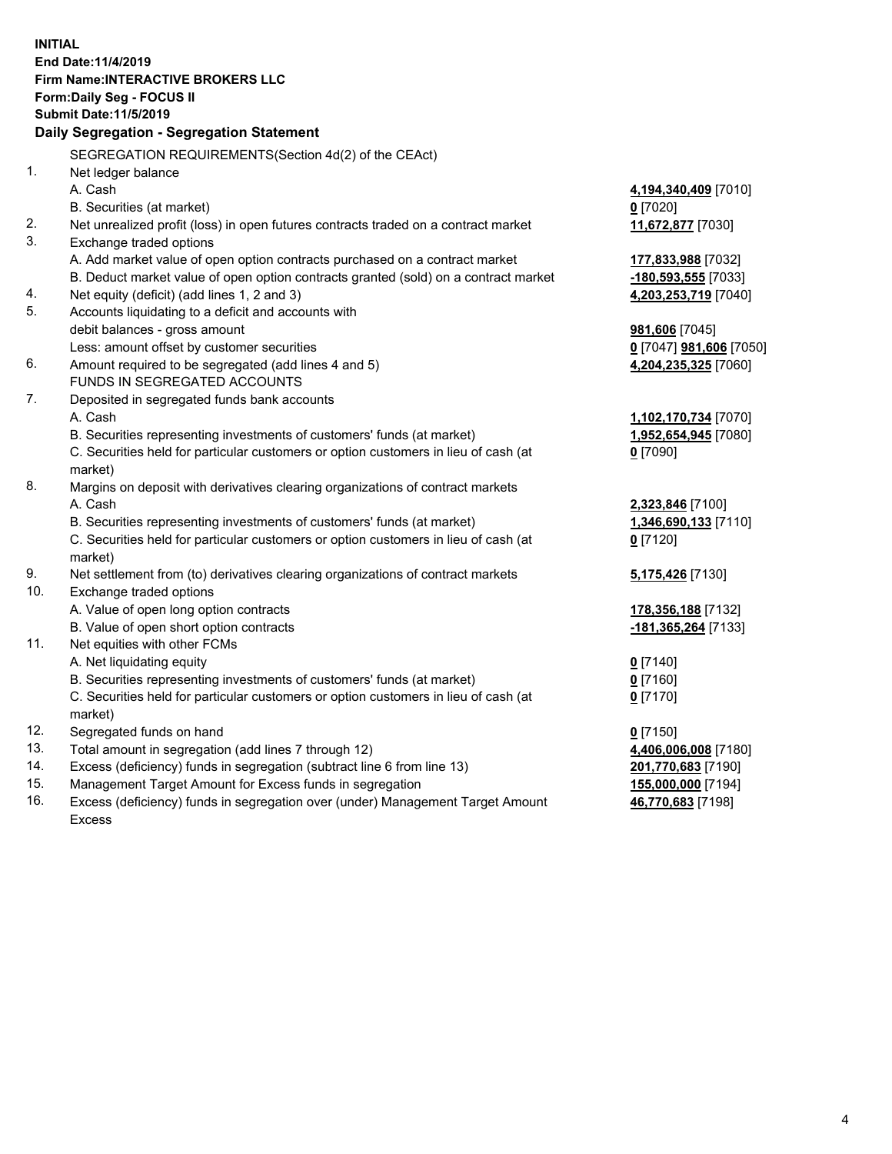**INITIAL End Date:11/4/2019 Firm Name:INTERACTIVE BROKERS LLC Form:Daily Seg - FOCUS II Submit Date:11/5/2019 Daily Segregation - Segregation Statement** SEGREGATION REQUIREMENTS(Section 4d(2) of the CEAct) 1. Net ledger balance A. Cash **4,194,340,409** [7010] B. Securities (at market) **0** [7020] 2. Net unrealized profit (loss) in open futures contracts traded on a contract market **11,672,877** [7030] 3. Exchange traded options A. Add market value of open option contracts purchased on a contract market **177,833,988** [7032] B. Deduct market value of open option contracts granted (sold) on a contract market **-180,593,555** [7033] 4. Net equity (deficit) (add lines 1, 2 and 3) **4,203,253,719** [7040] 5. Accounts liquidating to a deficit and accounts with debit balances - gross amount **981,606** [7045] Less: amount offset by customer securities **0** [7047] **981,606** [7050] 6. Amount required to be segregated (add lines 4 and 5) **4,204,235,325** [7060] FUNDS IN SEGREGATED ACCOUNTS 7. Deposited in segregated funds bank accounts A. Cash **1,102,170,734** [7070] B. Securities representing investments of customers' funds (at market) **1,952,654,945** [7080] C. Securities held for particular customers or option customers in lieu of cash (at market) **0** [7090] 8. Margins on deposit with derivatives clearing organizations of contract markets A. Cash **2,323,846** [7100] B. Securities representing investments of customers' funds (at market) **1,346,690,133** [7110] C. Securities held for particular customers or option customers in lieu of cash (at market) **0** [7120] 9. Net settlement from (to) derivatives clearing organizations of contract markets **5,175,426** [7130] 10. Exchange traded options A. Value of open long option contracts **178,356,188** [7132] B. Value of open short option contracts **-181,365,264** [7133] 11. Net equities with other FCMs A. Net liquidating equity **0** [7140] B. Securities representing investments of customers' funds (at market) **0** [7160] C. Securities held for particular customers or option customers in lieu of cash (at market) **0** [7170] 12. Segregated funds on hand **0** [7150] 13. Total amount in segregation (add lines 7 through 12) **4,406,006,008** [7180] 14. Excess (deficiency) funds in segregation (subtract line 6 from line 13) **201,770,683** [7190] 15. Management Target Amount for Excess funds in segregation **155,000,000** [7194]

16. Excess (deficiency) funds in segregation over (under) Management Target Amount Excess

**46,770,683** [7198]